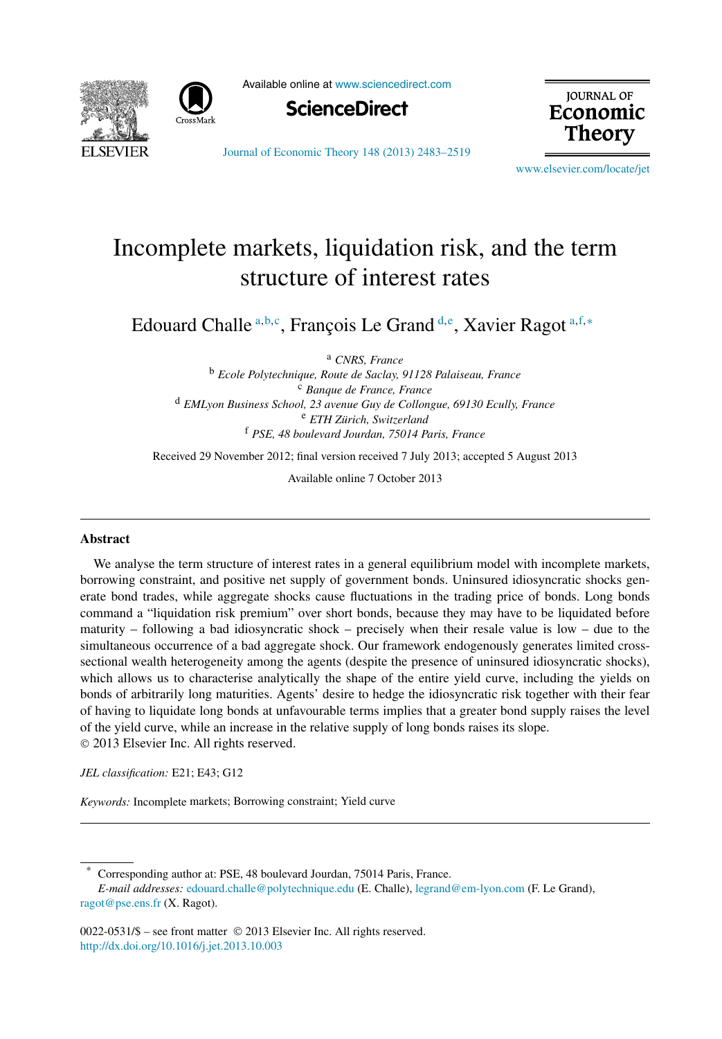



Available online at [www.sciencedirect.com](http://www.sciencedirect.com)



**JOURNAL OF** Economic Theory

[Journal of Economic Theory 148 \(2013\) 2483–2519](http://dx.doi.org/10.1016/j.jet.2013.10.003)

[www.elsevier.com/locate/jet](http://www.elsevier.com/locate/jet)

## Incomplete markets, liquidation risk, and the term structure of interest rates

Edouard Challe <sup>a</sup>*,*b*,*<sup>c</sup> , François Le Grand <sup>d</sup>*,*<sup>e</sup> , Xavier Ragot <sup>a</sup>*,*f*,*<sup>∗</sup>

<sup>a</sup> *CNRS, France*

<sup>b</sup> *Ecole Polytechnique, Route de Saclay, 91128 Palaiseau, France* <sup>c</sup> *Banque de France, France* <sup>d</sup> *EMLyon Business School, 23 avenue Guy de Collongue, 69130 Ecully, France* <sup>e</sup> *ETH Zürich, Switzerland* <sup>f</sup> *PSE, 48 boulevard Jourdan, 75014 Paris, France*

Received 29 November 2012; final version received 7 July 2013; accepted 5 August 2013

Available online 7 October 2013

## **Abstract**

We analyse the term structure of interest rates in a general equilibrium model with incomplete markets, borrowing constraint, and positive net supply of government bonds. Uninsured idiosyncratic shocks generate bond trades, while aggregate shocks cause fluctuations in the trading price of bonds. Long bonds command a "liquidation risk premium" over short bonds, because they may have to be liquidated before maturity – following a bad idiosyncratic shock – precisely when their resale value is low – due to the simultaneous occurrence of a bad aggregate shock. Our framework endogenously generates limited crosssectional wealth heterogeneity among the agents (despite the presence of uninsured idiosyncratic shocks), which allows us to characterise analytically the shape of the entire yield curve, including the yields on bonds of arbitrarily long maturities. Agents' desire to hedge the idiosyncratic risk together with their fear of having to liquidate long bonds at unfavourable terms implies that a greater bond supply raises the level of the yield curve, while an increase in the relative supply of long bonds raises its slope. © 2013 Elsevier Inc. All rights reserved.

*JEL classification:* E21; E43; G12

*Keywords:* Incomplete markets; Borrowing constraint; Yield curve

Corresponding author at: PSE, 48 boulevard Jourdan, 75014 Paris, France. *E-mail addresses:* [edouard.challe@polytechnique.edu](mailto:edouard.challe@polytechnique.edu) (E. Challe), [legrand@em-lyon.com](mailto:legrand@em-lyon.com) (F. Le Grand), [ragot@pse.ens.fr](mailto:ragot@pse.ens.fr) (X. Ragot).

0022-0531/\$ – see front matter © 2013 Elsevier Inc. All rights reserved. <http://dx.doi.org/10.1016/j.jet.2013.10.003>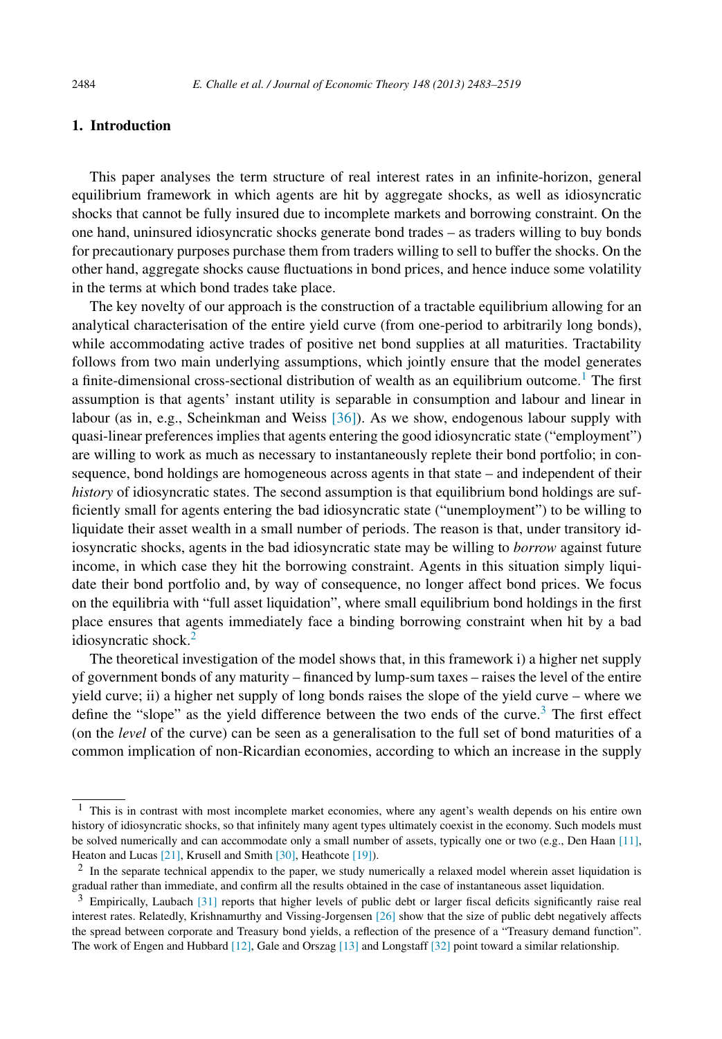## **1. Introduction**

This paper analyses the term structure of real interest rates in an infinite-horizon, general equilibrium framework in which agents are hit by aggregate shocks, as well as idiosyncratic shocks that cannot be fully insured due to incomplete markets and borrowing constraint. On the one hand, uninsured idiosyncratic shocks generate bond trades – as traders willing to buy bonds for precautionary purposes purchase them from traders willing to sell to buffer the shocks. On the other hand, aggregate shocks cause fluctuations in bond prices, and hence induce some volatility in the terms at which bond trades take place.

The key novelty of our approach is the construction of a tractable equilibrium allowing for an analytical characterisation of the entire yield curve (from one-period to arbitrarily long bonds), while accommodating active trades of positive net bond supplies at all maturities. Tractability follows from two main underlying assumptions, which jointly ensure that the model generates a finite-dimensional cross-sectional distribution of wealth as an equilibrium outcome.<sup>1</sup> The first assumption is that agents' instant utility is separable in consumption and labour and linear in labour (as in, e.g., Scheinkman and Weiss [\[36\]\)](#page--1-0). As we show, endogenous labour supply with quasi-linear preferences implies that agents entering the good idiosyncratic state ("employment") are willing to work as much as necessary to instantaneously replete their bond portfolio; in consequence, bond holdings are homogeneous across agents in that state – and independent of their *history* of idiosyncratic states. The second assumption is that equilibrium bond holdings are sufficiently small for agents entering the bad idiosyncratic state ("unemployment") to be willing to liquidate their asset wealth in a small number of periods. The reason is that, under transitory idiosyncratic shocks, agents in the bad idiosyncratic state may be willing to *borrow* against future income, in which case they hit the borrowing constraint. Agents in this situation simply liquidate their bond portfolio and, by way of consequence, no longer affect bond prices. We focus on the equilibria with "full asset liquidation", where small equilibrium bond holdings in the first place ensures that agents immediately face a binding borrowing constraint when hit by a bad idiosyncratic shock.2

The theoretical investigation of the model shows that, in this framework i) a higher net supply of government bonds of any maturity – financed by lump-sum taxes – raises the level of the entire yield curve; ii) a higher net supply of long bonds raises the slope of the yield curve – where we define the "slope" as the yield difference between the two ends of the curve. $3$  The first effect (on the *level* of the curve) can be seen as a generalisation to the full set of bond maturities of a common implication of non-Ricardian economies, according to which an increase in the supply

<sup>&</sup>lt;sup>1</sup> This is in contrast with most incomplete market economies, where any agent's wealth depends on his entire own history of idiosyncratic shocks, so that infinitely many agent types ultimately coexist in the economy. Such models must be solved numerically and can accommodate only a small number of assets, typically one or two (e.g., Den Haan [\[11\],](#page--1-0) Heaton and Lucas [\[21\],](#page--1-0) Krusell and Smith [\[30\],](#page--1-0) Heathcote [\[19\]\)](#page--1-0).

<sup>&</sup>lt;sup>2</sup> In the separate technical appendix to the paper, we study numerically a relaxed model wherein asset liquidation is gradual rather than immediate, and confirm all the results obtained in the case of instantaneous asset liquidation.

<sup>3</sup> Empirically, Laubach [\[31\]](#page--1-0) reports that higher levels of public debt or larger fiscal deficits significantly raise real interest rates. Relatedly, Krishnamurthy and Vissing-Jorgensen [\[26\]](#page--1-0) show that the size of public debt negatively affects the spread between corporate and Treasury bond yields, a reflection of the presence of a "Treasury demand function". The work of Engen and Hubbard [\[12\],](#page--1-0) Gale and Orszag [\[13\]](#page--1-0) and Longstaff [\[32\]](#page--1-0) point toward a similar relationship.